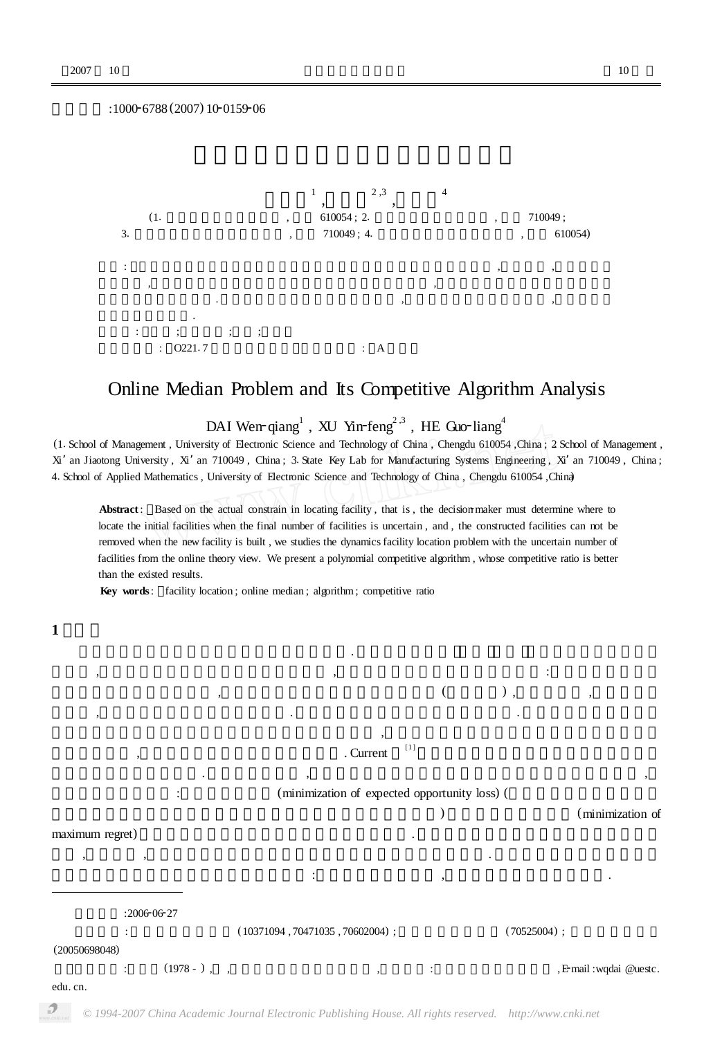:1000-6788 (2007) 10-0159-06



## Online Median Problem and Its Competitive Algorithm Analysis

 $\rm DAI~Wen$ - $\rm qiang^1$  ,  $\rm XU~Yin$ - $\rm feng^{2,3}$  ,  $\rm HE~G$ uo- $\rm liang^4$ sity of Electronic Science and Technology of China $\rm C$ Chengdu 61005

(1. School of Management , University of Electronic Science and Technology of China , Chengdu 610054 , China ; 2 School of Management , Xi' an Jiaotong University, Xi' an 710049, China ; 3. State Key Lab for Manufacturing Systems Engineering, Xi' an 710049, China ; <sup>4</sup>1School of Applied Mathematics , University of Electronic Science and Technology of China , Chengdu 610054 ,China)

Abstract: Based on the actual constrain in locating facility, that is, the decision maker must determine where to locate the initial facilities when the final number of facilities is uncertain , and , the constructed facilities can not be removed when the new facility is built , we studies the dynamics facility location problem with the uncertain number of facilities from the online theory view. We present a polynomial competitive algorithm , whose competitive ratio is better than the existed results.

**Key words**: facility location; online median; algorithm; competitive ratio

 $\mathcal{L}$  , which is the contract to the current function  $\mathcal{L}$  . Current function  $\mathcal{L}$ 

的前提下的动态选址问题. 在他们的论文中 ,他们假设了可以预先知道的待选址的个数的可能的情况 ,

假设 ,也即是说 ,本文并不假设存在对选址个数的可能状态的任何先念认识. 我们将把选址过程视为一个

本文中我们考虑待选址个数不确定的选址问题. 在建造诸如学校、医院、工厂、物流配送中心等等设施 , the symmetry , the symmetry , the symmetry symmetry is defined as  $\frac{1}{2}$ 设施的个数不清楚的前提下 ,我们需要决定在哪里建立初始的设施(或设施集) ,同时还要求 ,当新的设施  $\mathcal{L}_{\mathcal{A}}$  $\overline{\phantom{a}}$ 

: (minimization of expected opportunity loss) (

(minimization of

maximum regret)

**1 引言**

 $:200606627$ 

( $10371094$ , 70471035, 70602004) ;  $(70525004)$  ;

 $\overline{\mathcal{L}}$  :  $\overline{\mathcal{L}}$  :  $\overline{\mathcal{L}}$  :  $\overline{\mathcal{L}}$  :  $\overline{\mathcal{L}}$  :  $\overline{\mathcal{L}}$  :  $\overline{\mathcal{L}}$  :  $\overline{\mathcal{L}}$  :  $\overline{\mathcal{L}}$  :  $\overline{\mathcal{L}}$  :  $\overline{\mathcal{L}}$  :  $\overline{\mathcal{L}}$  :  $\overline{\mathcal{L}}$  :  $\overline{\mathcal{L}}$  :  $\overline{\mathcal{L}}$  :  $\overline{\mathcal{L}}$ 

(20050698048)

**作者简介** :代文强(1978 - ) , ,电子科技大学管理学院教师 ,研究方向 :组合最优化与算法设计 , E2mail :wqdai @uestc.

edu. cn.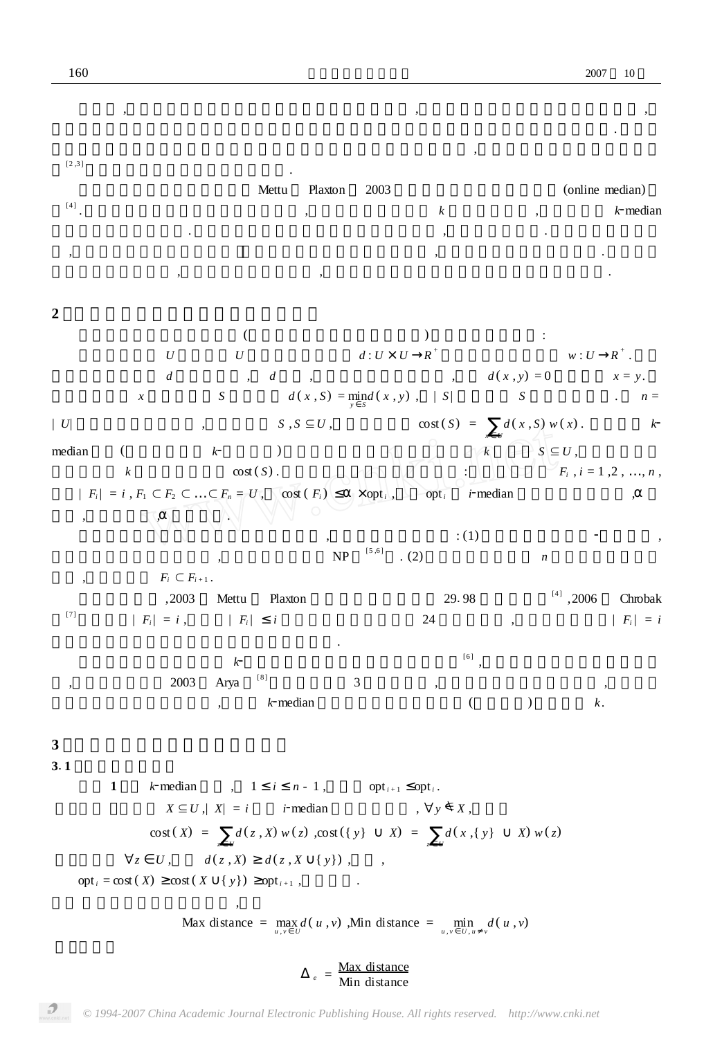| [2,3]                    |                                                                                     |                                                                                   |                                          |                             |                  |                                                    |                                       |                           |
|--------------------------|-------------------------------------------------------------------------------------|-----------------------------------------------------------------------------------|------------------------------------------|-----------------------------|------------------|----------------------------------------------------|---------------------------------------|---------------------------|
|                          |                                                                                     | Mettu                                                                             | Plaxton                                  | 2003                        |                  |                                                    | (online median)                       |                           |
| [4]                      |                                                                                     |                                                                                   |                                          |                             | $\boldsymbol{k}$ |                                                    |                                       | $k$ -median               |
|                          |                                                                                     |                                                                                   |                                          |                             |                  |                                                    |                                       |                           |
| $^\circ$                 |                                                                                     |                                                                                   |                                          |                             |                  |                                                    |                                       |                           |
|                          |                                                                                     |                                                                                   |                                          |                             |                  |                                                    |                                       |                           |
| $\boldsymbol{2}$         |                                                                                     |                                                                                   |                                          |                             |                  |                                                    |                                       |                           |
|                          |                                                                                     |                                                                                   |                                          |                             |                  |                                                    |                                       |                           |
|                          | U                                                                                   | $\cal U$                                                                          |                                          | $d:U\times U$ – $R^+$       |                  |                                                    | $w:U \quad R^+$ .                     |                           |
|                          | $\boldsymbol{d}$                                                                    | d<br>$\overline{ }$ ,                                                             |                                          |                             |                  | $d(x, y) = 0$                                      |                                       | $x = y$ .                 |
|                          | $\boldsymbol{x}$                                                                    | ${\cal S}$                                                                        | $d(x, S) = \min_{y \in S} d(x, y)$ ,   S |                             |                  | $\boldsymbol{S}$                                   |                                       | $n =$                     |
| U                        |                                                                                     |                                                                                   | $S, S \subseteq U$ ,                     |                             |                  | $cost(S) = d(x, S) w(x).$                          |                                       | k                         |
| median                   | $\left($                                                                            | $k\hbox{-}$                                                                       |                                          |                             |                  | $\sqrt{k}$ $\left \triangle X\right \subseteq U$ , |                                       |                           |
|                          | $\boldsymbol{k}$                                                                    | $\cos(S)$ .                                                                       |                                          |                             |                  |                                                    |                                       | $F_i$ , $i = 1, 2, , n$ , |
|                          | $ F_i  = i, F_1 \subset F_2 \subset  \subset F_n = U, \quad \text{cost}(F_i)$       |                                                                                   |                                          | $\times$ opt <sub>i</sub> , | $opt_i$          | <i>i</i> -median                                   |                                       |                           |
| $\overline{\phantom{a}}$ |                                                                                     |                                                                                   |                                          |                             | : (1)            |                                                    |                                       |                           |
|                          |                                                                                     |                                                                                   | NP                                       | [5,6]<br>(2)                |                  | $\boldsymbol{n}$                                   |                                       |                           |
| $\overline{\phantom{a}}$ | $F_i\subset F_{i+1}$ .                                                              |                                                                                   |                                          |                             |                  |                                                    |                                       |                           |
|                          | ,2003                                                                               | Mettu<br>Plaxton                                                                  |                                          |                             | 29.98            |                                                    | $^{\scriptscriptstyle [4]}$ ,<br>2006 | Chrobak                   |
| $[7]$                    | $ F_i  = i$ , $ F_i $                                                               | $\dot{i}$                                                                         |                                          |                             | 24               |                                                    |                                       | $ F_i  = i$               |
|                          |                                                                                     |                                                                                   |                                          |                             |                  |                                                    |                                       |                           |
|                          |                                                                                     | k<br>$\left[\begin{smallmatrix}8\end{smallmatrix}\right]$                         |                                          |                             | [6]              |                                                    |                                       |                           |
|                          | 2003                                                                                | Arya<br>$k$ -median                                                               |                                          | 3                           |                  |                                                    | $k$ .                                 |                           |
|                          |                                                                                     |                                                                                   |                                          |                             |                  |                                                    |                                       |                           |
| 3                        |                                                                                     |                                                                                   |                                          |                             |                  |                                                    |                                       |                           |
| 3.1                      |                                                                                     |                                                                                   |                                          |                             |                  |                                                    |                                       |                           |
|                          | $\mathbf{1}$                                                                        | k-median , 1 i $n-1$ , opt <sub>i+1</sub> opt <sub>i</sub> .                      |                                          |                             |                  |                                                    |                                       |                           |
|                          |                                                                                     | $X \subseteq U$ , $ X  = i$ <i>i</i> -median , $\forall y \notin X$ ,             |                                          |                             |                  |                                                    |                                       |                           |
|                          |                                                                                     | $\cos(x) = \int_{z=U} d(z, X) w(z)$ , $\cos(x) = \int_{z=U} d(x, \{y\} - X) w(z)$ |                                          |                             |                  |                                                    |                                       |                           |
|                          |                                                                                     | $\forall z\quad U\,,\qquad d(z\,,X)\quad d(z\,,X\quad \{ \,y\})\ ,\qquad ,$       |                                          |                             |                  |                                                    |                                       |                           |
|                          | $\text{opt}_i = \text{cost}(X) \quad \text{cost}(X \{y\}) \quad \text{opt}_{i+1}$ , |                                                                                   | <b>Contract Contract</b>                 |                             |                  |                                                    |                                       |                           |
|                          |                                                                                     |                                                                                   |                                          |                             |                  |                                                    |                                       |                           |
|                          |                                                                                     | Max distance = $\max_{u,v} d(u,v)$ , Min distance = $\min_{u,v} d(u,v)$           |                                          |                             |                  |                                                    |                                       |                           |

理论上 ,由于最优的选址方案同选址的个数是紧密相关的 ,不同的选址个数将决定不同的选址点 , 此我们只能考虑如何将设计的设施集费用同在同样的选址个数下最优的设施集费用尽量的靠近. 这个约

> $e = \frac{\text{Max distance}}{\text{Min distance}}$ Min distance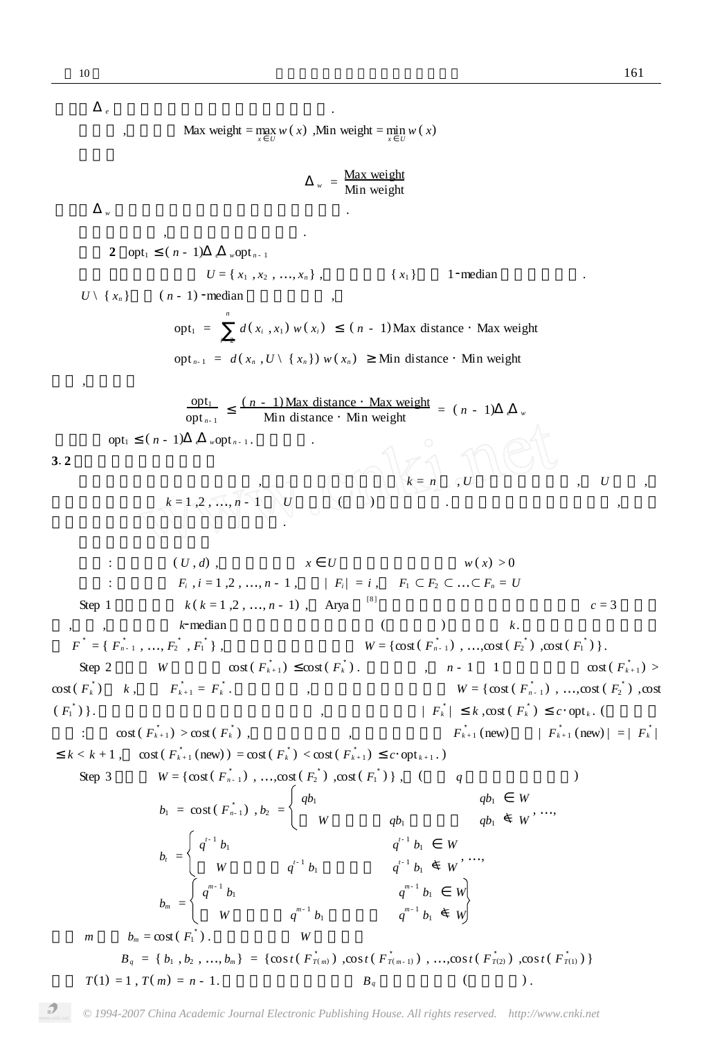即 *<sup>e</sup>* 表示输入度量空间中最大的相对距离. 类似地 ,我们定义 Max weight = max *x U w* ( *x*) ,Min weight = min *x U w* ( *x*) *<sup>w</sup>* = Max weight Min weight 即 *<sup>w</sup>* 表示问题输入度量空间中最大相对权重. 在上述定义下 ,我们有下面的重要性质. **引理 2** opt<sup>1</sup> ( *n* - 1) *<sup>e</sup> <sup>w</sup>*opt *<sup>n</sup>* - 1 **证明** 设给定的空间 *<sup>U</sup>* <sup>=</sup> { *<sup>x</sup>*<sup>1</sup> , *<sup>x</sup>*<sup>2</sup> , …, *<sup>x</sup><sup>n</sup>* } ,且不妨假设{ *<sup>x</sup>*<sup>1</sup> }使得 <sup>1</sup>2median 问题达到最优. *<sup>U</sup>* \ { *<sup>x</sup><sup>n</sup>* }使得( *<sup>n</sup>* - 1) <sup>2</sup>median 问题达到最优 , opt<sup>1</sup> = *n i* = 2 *d* ( *x<sup>i</sup>* , *x*<sup>1</sup> ) *w* ( *x<sup>i</sup>* ) ( *n* - 1)Max distance ·Max weight opt *<sup>n</sup>*- 1 = *d* ( *x<sup>n</sup>* , *U* \ { *x<sup>n</sup>* }) *w* ( *x<sup>n</sup>* ) Min distance ·Min weight 于是 ,我们得到 opt<sup>1</sup> opt *<sup>n</sup>*- 1 ( *n* - 1)Max distance ·Max weight Min distance ·Min weight <sup>=</sup> ( *<sup>n</sup>* - 1) *<sup>e</sup> <sup>w</sup>* 因此 opt<sup>1</sup> ( *n* - 1) *<sup>e</sup> <sup>w</sup>*opt *<sup>n</sup>* - 1 . 命题成立. **<sup>3</sup>**1**<sup>2</sup> 占线中心问题竞争算法** 下面我们给出设计的竞争算法 ,首先我们注意到由于当 *k* = *n* , *U* 的子集只有一个 , *U* 本身 , 此我们只需要考虑 *k* = 1 ,2 , …, *n* - 1 *U* 的子集(设施) 的选择问题. 下面我们首先写出竞争算法 ,后面证 明算法的有关性质并证明算法的竞争比. 输入 : 度量空间( *U* , *d*) ,及在每一个点 *x U* 上定义的正权重函数 *w* ( *x*) > 0 输出 : 子集序列 *<sup>F</sup><sup>i</sup>* , *<sup>i</sup>* <sup>=</sup> <sup>1</sup> ,2 , …, *<sup>n</sup>* - 1 ,使得<sup>|</sup> *<sup>F</sup><sup>i</sup>* | = *<sup>i</sup>* , *<sup>F</sup>*<sup>1</sup> <sup>&</sup>lt; *<sup>F</sup>*<sup>2</sup> <sup>&</sup>lt; …<sup>&</sup>lt; *<sup>F</sup><sup>n</sup>* <sup>=</sup> *<sup>U</sup>* Step 1 对每一个 *k* ( *k* = 1 ,2 , …, *n* - 1) , Arya [8 ]的局部搜索近似算法产生近似比为 *c* = 3 的近似 ,同时 ,该算法对于 *<sup>k</sup>*2median 问题其输出的近似解的势(点的个数) 恰好就是 *<sup>k</sup>*. 设得到的解的序列集合 *F* = { *F* 3 *<sup>n</sup>* - <sup>1</sup> , …, *F* 3 <sup>2</sup> , *F* <sup>1</sup> } ,对应的费用序列集合为 *W* = {cost ( *F* 3 *n* - 1 ) , …,cost ( *F* 3 2 ) ,cost ( *F* 1 ) }. Step 2 考察 *W* 是否满足 cost ( *F* 3 *k* + 1 ) cost( *F* 3 *k* ) . 假若不是 , *n* - 1 1 依次选取使得 cost ( *F* 3 *k* + 1 ) > cost( *F* 3 *k* ) *k* ,并令 *F* 3 *<sup>k</sup>* <sup>+</sup> <sup>1</sup> = *F* 3 *<sup>k</sup>* . 这样处理后 ,仍记得到的序列集合为 *W* = {cost ( *F* 3 *n* - 1 ) , …,cost ( *F* 3 2 ) ,cost ( *F* 1 ) }. 经过处理后序列将满足以非降序排列 ,同时仍满足条件| *F* 3 *<sup>k</sup>* | *k* ,cost ( *F* 3 *k* ) *c*·opt *<sup>k</sup>* . (简单证明 如下 :如果 cost ( *F* 3 *<sup>k</sup>* <sup>+</sup> <sup>1</sup> ) > cost ( *F* 3 *<sup>k</sup>* ) ,则按照处理方法 ,新获得的设施集 *F* 3 *<sup>k</sup>* <sup>+</sup> <sup>1</sup> (new) 满足| *F* 3 *<sup>k</sup>* <sup>+</sup> <sup>1</sup> (new) | = | *F* 3 *k* | *k* < *k* + 1 , cost ( *F* 3 *k* + 1 (new) ) = cost ( *F* 3 *k* ) < cost ( *F* 3 *k* + 1 ) *c*·opt *<sup>k</sup>* <sup>+</sup> <sup>1</sup> . ) Step 3 根据 *W* = {cost( *F* 3 *n* - 1 ) , …,cost ( *F* 3 2 ) ,cost ( *F* 3 1 ) } , (参数 *q* 在后面证明中确定) *b*<sup>1</sup> = cost ( *F* 3 *n*- 1 ) , *b*<sup>2</sup> = *qb*<sup>1</sup> *qb*<sup>1</sup> *W <sup>W</sup>* 中不大于 *qb*<sup>1</sup> 的最大元 *qb*<sup>1</sup> <sup>|</sup> *<sup>W</sup>* , …, *b<sup>t</sup>* = *q t*- 1 *b*<sup>1</sup> *q t*- 1 *b*<sup>1</sup> *W W* 中不大于 *q t*- 1 *b*<sup>1</sup> 的最大元 *q t*- 1 *<sup>b</sup>*<sup>1</sup> <sup>|</sup> *<sup>W</sup>* , …, *b<sup>m</sup>* = *q m* - 1 *b*<sup>1</sup> *q m*- 1 *b*<sup>1</sup> *W W* 中不大于 *q m* - 1 *b*<sup>1</sup> 的最大元 *q m*- 1 *<sup>b</sup>*<sup>1</sup> <sup>|</sup> *<sup>W</sup>* 其中 *m* 使得 *b<sup>m</sup>* = cost ( *F* 1 ) . 记这样得到的 *W* 的子集合 *B<sup>q</sup>* = { *b*<sup>1</sup> , *b*<sup>2</sup> , …, *b<sup>m</sup>* } = {cos*t* ( *F* 3 *<sup>T</sup>*( *<sup>m</sup>*) ) ,cos*t* ( *F* 3 *<sup>T</sup>*( *<sup>m</sup>* - 1) ) , …,cos*t* ( *F* 3 *<sup>T</sup>*(2) ) ,cos*t* ( *F* 3 *<sup>T</sup>*(1) ) } 这里 *T*(1) = 1 , *T*( *m*) = *n* - 1. 同时我们记得到的集合 *B<sup>q</sup>* 的下标序列为(降序排列) .

*© 1994-2007 China Academic Journal Electronic Publishing House. All rights reserved. http://www.cnki.net*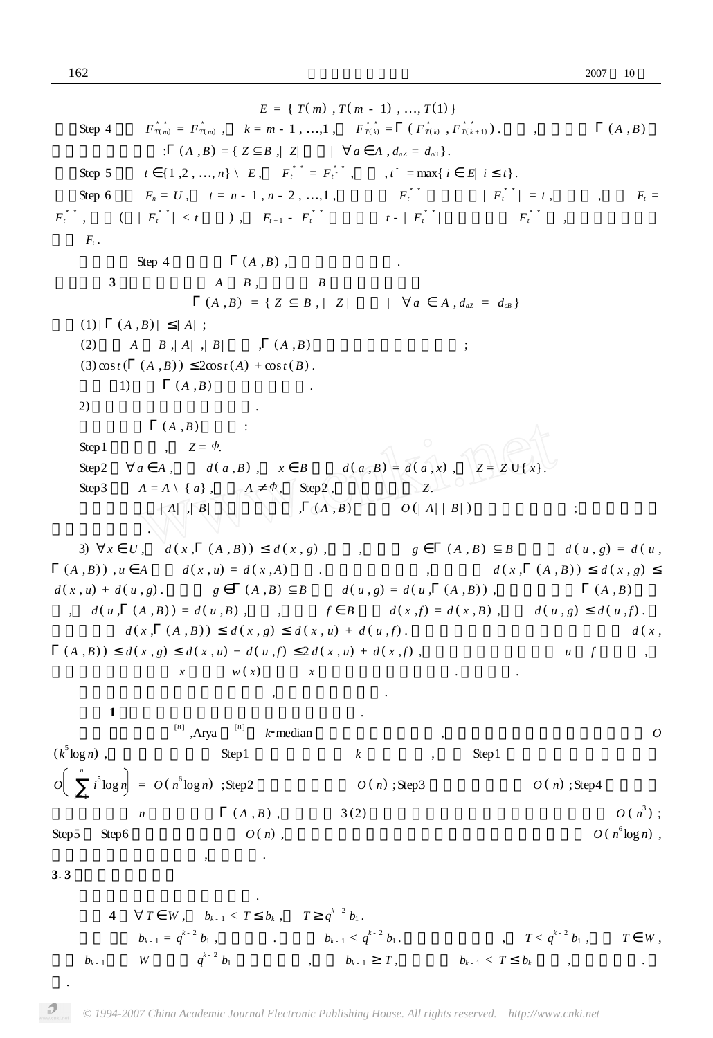*E* = { *T*( *m*) , *T*( *m* - 1) , …, *T*(1) } Step 4 令 *F* 3 3 *<sup>T</sup>*( *<sup>m</sup>*) = *F* 3 *<sup>T</sup>*( *<sup>m</sup>*) , *k* = *m* - 1 , …,1 , *F* 3 3 *<sup>T</sup>*( *<sup>k</sup>*) = ( *F* 3 *<sup>T</sup>*( *<sup>k</sup>*) , *F* 3 3 *<sup>T</sup>*( *<sup>k</sup>* <sup>+</sup> 1) ) . 其中 ,集合函数 ( *A* , *B*) 定义为如下的集合 : ( *<sup>A</sup>* ,*B*) <sup>=</sup> { *<sup>Z</sup>* <sup>Α</sup> *<sup>B</sup>* ,| *<sup>Z</sup>*<sup>|</sup> 最小<sup>|</sup> <sup>Π</sup> *<sup>a</sup> <sup>A</sup>* , *<sup>d</sup>aZ* <sup>=</sup> *<sup>d</sup>aB* }. Step 5 对 *t* {1 ,2 , …, *n*} \ *E* , *F* 3 3 *<sup>t</sup>* = *F* 3 3 *t* - ,其中 , *t* - = max{ *i E*| *i t*}. Step 6 令 *F<sup>n</sup>* = *U* , *t* = *n* - 1 , *n* - 2 , …,1 ,依次考察 *F* 3 3 *<sup>t</sup>* 是否满足| *F* 3 3 *<sup>t</sup>* | = *t* ,如果是 ,则令 *F<sup>t</sup>* = *F* 3 3 *<sup>t</sup>* , 否则( | *F* 3 3 *<sup>t</sup>* | < *t* 成立) , *F<sup>t</sup>* <sup>+</sup> <sup>1</sup> - *F* 3 3 *<sup>t</sup>* 中任意取 *t* - | *F* 3 3 *<sup>t</sup>* | 个元素放入 *F* 3 3 *<sup>t</sup>* ,并令得到的设施 集为 *F<sup>t</sup>* . 关于算法 Step 4 中的函数 ( *A* ,*B*) ,我们有如下的性质. **引理 3** 对于两个集合 *A B* ,定义集合 *B* 的一个子集函数 ( *<sup>A</sup>* ,*B*) <sup>=</sup> { *<sup>Z</sup>* <sup>Α</sup> *<sup>B</sup>* , <sup>|</sup> *<sup>Z</sup>* <sup>|</sup> 最小 <sup>|</sup> <sup>Π</sup> *<sup>a</sup> <sup>A</sup>* , *<sup>d</sup>aZ* <sup>=</sup> *<sup>d</sup>aB* } 则有(1) | ( *A* ,*B*) | | *A*| ; (2) 给定 *A B* ,| *A*| ,| *B*| 有限 , ( *A* ,*B*) 能够在多项式内计算出来 ; (3) cos*t* ( ( *A* ,*B*) ) 2cos*t* ( *A*) + cos*t* ( *B*) . **证明** 1) 根据 ( *A* ,*B*) 函数的定义显然. 2) 下面是一个可行的计算方法. 计算子集合 ( *A* ,*B*) 的算法 : Step1 初始化 , *<sup>Z</sup>* <sup>=</sup> <sup>&</sup>lt;. Step2 <sup>Π</sup> *<sup>a</sup> <sup>A</sup>* ,计算 *<sup>d</sup>* ( *<sup>a</sup>* ,*B*) , *<sup>x</sup> <sup>B</sup>* 使得 *<sup>d</sup>* ( *<sup>a</sup>* ,*B*) <sup>=</sup> *<sup>d</sup>* ( *<sup>a</sup>* , *<sup>x</sup>*) , *<sup>Z</sup>* <sup>=</sup> *<sup>Z</sup>* { *<sup>x</sup>*}. Step3 *<sup>A</sup>* <sup>=</sup> *<sup>A</sup>* \ { *<sup>a</sup>*} ,如果 *<sup>A</sup>* <sup>&</sup>lt; , Step2 ,否则输出集合 *<sup>Z</sup>*. 如上的算法在| *A*| ,| *B*| 有限的情况下 , ( *A* , *B*) 能够在 *O* (| *A*| | *B*| ) 时间内计算出来 ;该算法为一个 多项式时间算法. 3) <sup>Π</sup>*<sup>x</sup> <sup>U</sup>* , *<sup>d</sup>* ( *<sup>x</sup>* , ( *<sup>A</sup>* , *<sup>B</sup>*) ) *<sup>d</sup>* ( *<sup>x</sup>* , *<sup>g</sup>*) ,其中 ,我们取 *<sup>g</sup>* ( *<sup>A</sup>* , *<sup>B</sup>*) <sup>Α</sup> *<sup>B</sup>* 且使得 *<sup>d</sup>* ( *<sup>u</sup>* , *<sup>g</sup>*) <sup>=</sup> *<sup>d</sup>* ( *<sup>u</sup>* , ( *A* ,*B*) ) , *u A* 使得 *d* ( *x* , *u*) = *d* ( *x* , *A*) 成立. 根据三角不等式 ,我们得到 *d* ( *x* , ( *A* , *B*) ) *d* ( *x* , *g*) *<sup>d</sup>* ( *<sup>x</sup>* , *<sup>u</sup>*) <sup>+</sup> *<sup>d</sup>* ( *<sup>u</sup>* , *<sup>g</sup>*) . 又由于 *<sup>g</sup>* ( *<sup>A</sup>* ,*B*) <sup>Α</sup>*<sup>B</sup>* 使得 *<sup>d</sup>* ( *<sup>u</sup>* , *<sup>g</sup>*) <sup>=</sup> *<sup>d</sup>* ( *<sup>u</sup>* , ( *<sup>A</sup>* ,*B*) ) ,同时根据函数 ( *<sup>A</sup>* , *<sup>B</sup>*) 的定 , *d* ( *u* , ( *A* ,*B*) ) = *d* ( *u* ,*B*) ,因此 ,如果令 *f B* 使得 *d* ( *x* ,*f*) = *d* ( *x* , *B*) ,则有 *d* ( *u* , *g*) *d* ( *u* , *f*) . 是我们得到 *d* ( *x* , ( *A* , *B*) ) *d* ( *x* , *g*) *d* ( *x* , *u*) + *d* ( *u* , *f*) . 最后我们再次根据三角不等式得到 *d* ( *x* , ( *A* ,*B*) ) *d* ( *x* , *g*) *d* ( *x* , *u*) + *d* ( *u* ,*f*) 2 *d* ( *x* , *u*) + *d* ( *x* ,*f*) ,注意到我们这里对元素 *u f* 的定义 , 不定式两边同时乘上 *x* 的权重 *w* ( *x*) 并关于 *x* 求和我们可以得到结论. 命题证毕. 关于设计算法的时间复杂性分析 ,我们有下面的定理. **定理 1** 我们设计的算法能在多项式时间内完成. [8 ] ,Arya [8 ] *<sup>k</sup>*2median 问题给出的近似算法 ,在最坏情况下所需要花费的时间是 *<sup>O</sup>* (*k* 5 log *n*) ,而设计的算法的 Step1 需要对每一个 *k* 进行调用 , 因此 Step1 总共需要花费的时间是 *O n i* = 1 *i* 5 log *n* = *O* ( *n* 6 log *n*) ;Step2 的时间复杂度为 *O* ( *n*) ;Step3 的时间复杂度为 *O* ( *n*) ;Step4 在最坏情 况下需要计算 *n* 次集合函数 ( *A* , *B*) ,根据引理 3 (2) 得到在最坏情况下该步的时间复杂度为 *O* ( *n* 3 ) ; Step5 Step6 的时间复杂度都是 *O* ( *n*) ,因此我们设计的算法在最坏情况下的时间复杂度为 *O* ( *n* 6 log *n*) ,

**<sup>3</sup>**1**<sup>3</sup> 算法竞争比度量**

.

**4**  $\forall T \quad W, \quad b_{k-1} < T \quad b_k, \quad T \quad q^{k-2} b_1.$  $b_{k+1} = q^{k+2} b_1$ ,  $b_{k+1} < q^{k+2}$  $b_1$  ,  $T < q^{k-2} b_1$  ,  $T$  *W* ,  $b_{k-1}$  *W*  $q^{k-2} b_1$ **c**<sub>*b*<sub>k-1</sub></sub>  $T$ , *b*<sub>k-1</sub> <  $T$  *b*<sub>k</sub> , ,

 $\,$ 

首先我们可以得到如下的引理.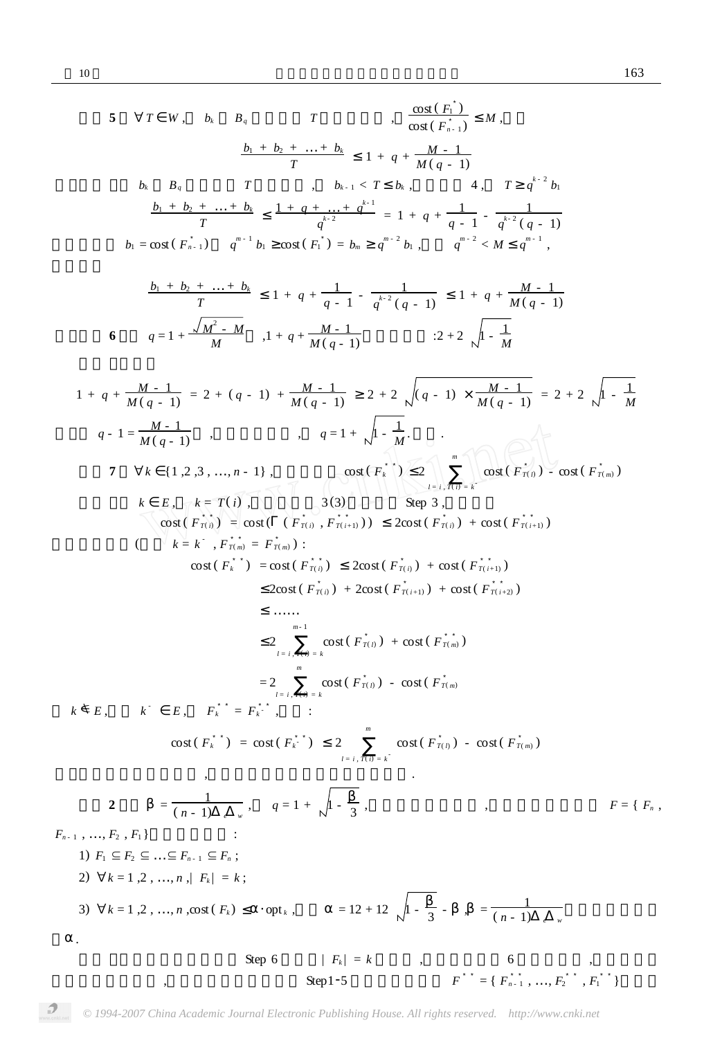5 
$$
\forall T
$$
 W,  $b_i$   $B_i$   $T$ ,  $\frac{\cos(F_i)}{\cos(F_i)}$   $M$ ,  
\n $\frac{b_1 + b_2 + \ldots + b_i}{T}$   $1 + q + \frac{M - 1}{M(q - 1)}$   
\n $b_i$   $B_i$   $T$ ,  $b_{i+1} < T$   $b_i$ ,  $4, T q^{i-2} b_i$   
\n $\frac{b_1 + b_2 + \ldots + b_i}{T}$   $\frac{1 + q + \ldots + q^{i-1}}{q^{i-2}}$   $= 1 + q + \frac{1}{q - 1} - \frac{1}{q^{i-2}(q - 1)}$   
\n $b_i = \cos(F_i, i)$   $q^{n-1}b_i$   $\cos(F_i) = b_{n-1}q^{n-2}b_i$ ,  $q^{n-2} < M$   $q^{n-1}$ ,  
\n $\frac{b_1 + b_2 + \ldots + b_i}{T}$   $1 + q + \frac{1}{M(-1)}$   $2 + 2\sqrt{1 - \frac{1}{M}}$   
\n $1 + q + \frac{M - 1}{M(q - 1)}$   $2 + 2\sqrt{1 - \frac{1}{M}}$   
\n $1 + q + \frac{M - 1}{M(q - 1)}$   $q = 1 + \sqrt{1 - \frac{1}{M}}$   $2 + 2\sqrt{1 - \frac{1}{M}}$   
\n $q - 1 = \frac{M - 1}{M(q - 1)}$ ,  $q = 1 + \sqrt{1 - \frac{1}{M}}$   
\n $q - 1 = \frac{M - 1}{M(q - 1)}$ ,  $q = 1 + \sqrt{1 - \frac{1}{M}}$   
\n $q - 1 = \frac{M - 1}{M(q - 1)}$ ,  $q = 1 + \sqrt{1 - \frac{1}{M}}$   
\n7  $\forall k$   $\{1, 2, 3, \ldots, n - 1\}$ ,  $\cos(F_i, i)$   $2\cos(F_{i+1})$   $2\cos(F_{i+2})$   $3\cos(F_{i+1})$   $3\cos$ 

*© 1994-2007 China Academic Journal Electronic Publishing House. All rights reserved. http://www.cnki.net*

 $\boldsymbol{f}^{\ast \ast} = \{ \boldsymbol{F}^{\ast \ast}_{n-1}, \ldots, \boldsymbol{F}^{\ast \ast}_{2}, \boldsymbol{F}^{\ast \ast}_{1} \}$ 

 $\text{Step 1-5}$   $\text{Step 1-5}$